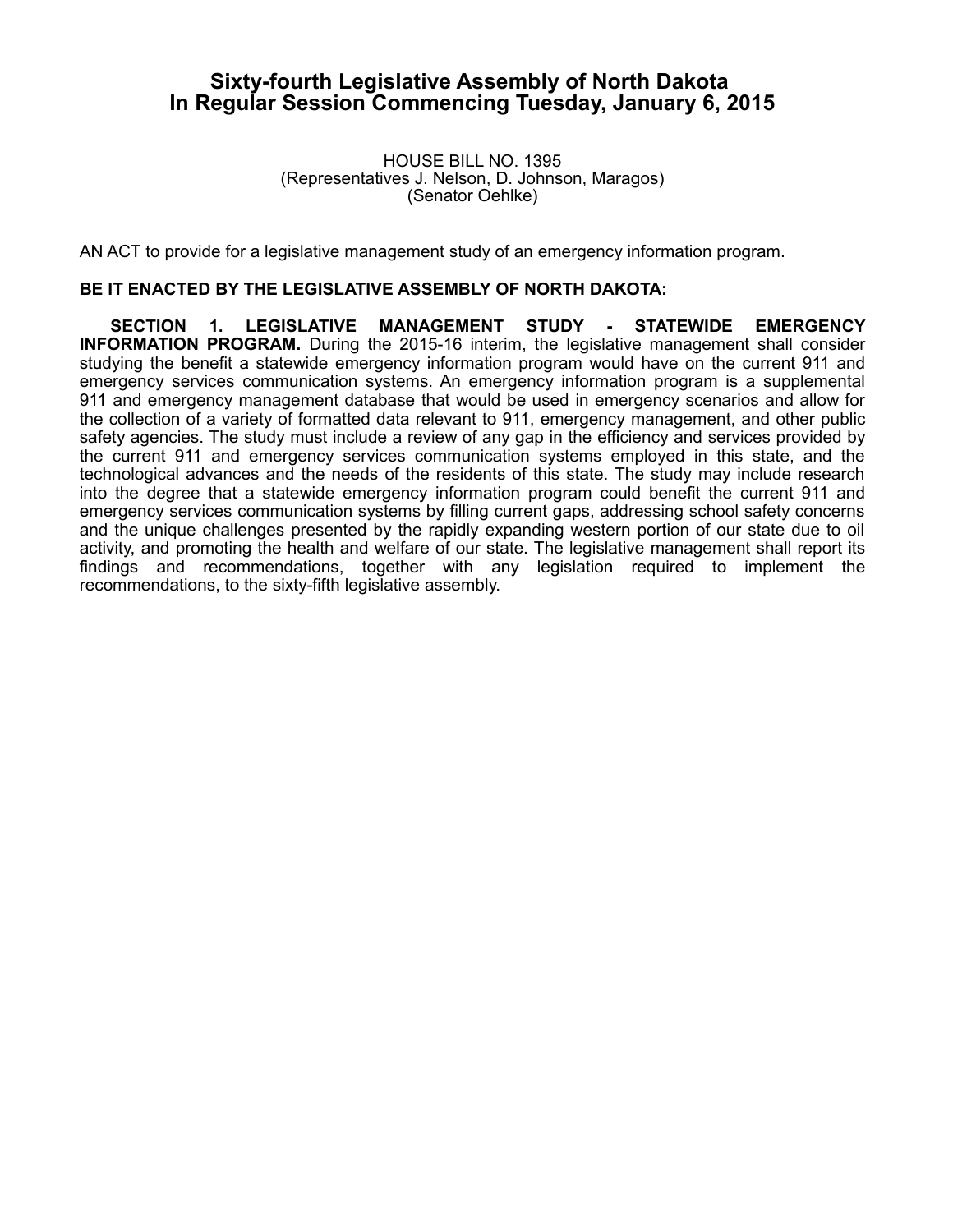## **Sixty-fourth Legislative Assembly of North Dakota In Regular Session Commencing Tuesday, January 6, 2015**

HOUSE BILL NO. 1395 (Representatives J. Nelson, D. Johnson, Maragos) (Senator Oehlke)

AN ACT to provide for a legislative management study of an emergency information program.

## **BE IT ENACTED BY THE LEGISLATIVE ASSEMBLY OF NORTH DAKOTA:**

**SECTION 1. LEGISLATIVE MANAGEMENT STUDY - STATEWIDE EMERGENCY INFORMATION PROGRAM.** During the 2015-16 interim, the legislative management shall consider studying the benefit a statewide emergency information program would have on the current 911 and emergency services communication systems. An emergency information program is a supplemental 911 and emergency management database that would be used in emergency scenarios and allow for the collection of a variety of formatted data relevant to 911, emergency management, and other public safety agencies. The study must include a review of any gap in the efficiency and services provided by the current 911 and emergency services communication systems employed in this state, and the technological advances and the needs of the residents of this state. The study may include research into the degree that a statewide emergency information program could benefit the current 911 and emergency services communication systems by filling current gaps, addressing school safety concerns and the unique challenges presented by the rapidly expanding western portion of our state due to oil activity, and promoting the health and welfare of our state. The legislative management shall report its findings and recommendations, together with any legislation required to implement the recommendations, to the sixty-fifth legislative assembly.